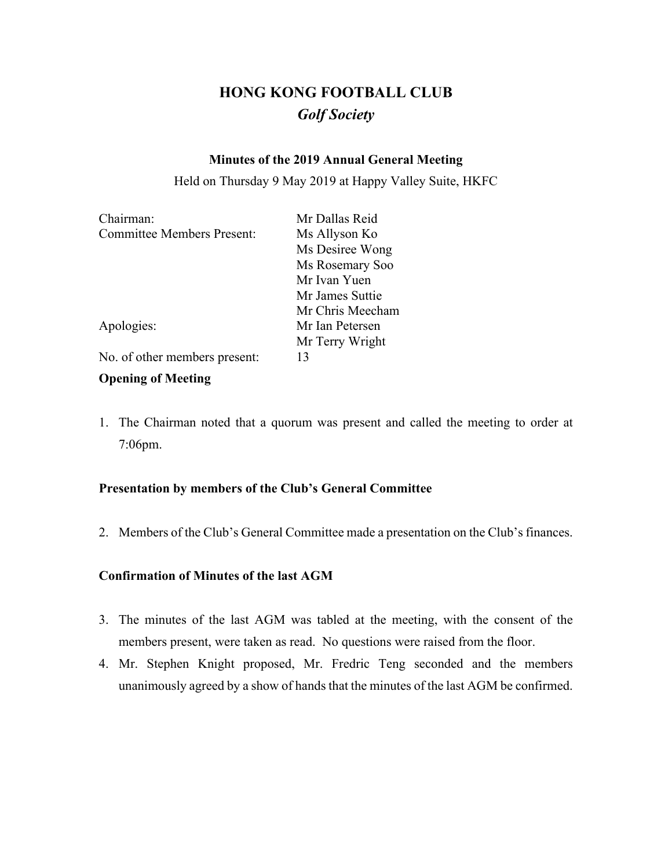# **HONG KONG FOOTBALL CLUB** *Golf Society*

## **Minutes of the 2019 Annual General Meeting**

Held on Thursday 9 May 2019 at Happy Valley Suite, HKFC

| Chairman:                         | Mr Dallas Reid   |  |  |
|-----------------------------------|------------------|--|--|
| <b>Committee Members Present:</b> | Ms Allyson Ko    |  |  |
|                                   | Ms Desiree Wong  |  |  |
|                                   | Ms Rosemary Soo  |  |  |
|                                   | Mr Ivan Yuen     |  |  |
|                                   | Mr James Suttie  |  |  |
|                                   | Mr Chris Meecham |  |  |
| Apologies:                        | Mr Ian Petersen  |  |  |
|                                   | Mr Terry Wright  |  |  |
| No. of other members present:     | 13               |  |  |

## **Opening of Meeting**

1. The Chairman noted that a quorum was present and called the meeting to order at 7:06pm.

## **Presentation by members of the Club's General Committee**

2. Members of the Club's General Committee made a presentation on the Club's finances.

## **Confirmation of Minutes of the last AGM**

- 3. The minutes of the last AGM was tabled at the meeting, with the consent of the members present, were taken as read. No questions were raised from the floor.
- 4. Mr. Stephen Knight proposed, Mr. Fredric Teng seconded and the members unanimously agreed by a show of hands that the minutes of the last AGM be confirmed.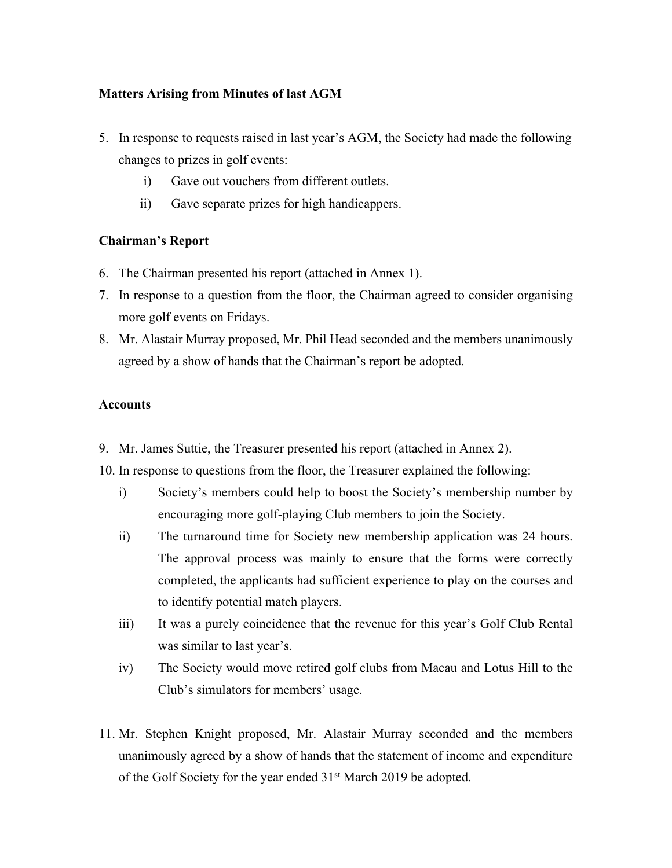## **Matters Arising from Minutes of last AGM**

- 5. In response to requests raised in last year's AGM, the Society had made the following changes to prizes in golf events:
	- i) Gave out vouchers from different outlets.
	- ii) Gave separate prizes for high handicappers.

## **Chairman's Report**

- 6. The Chairman presented his report (attached in Annex 1).
- 7. In response to a question from the floor, the Chairman agreed to consider organising more golf events on Fridays.
- 8. Mr. Alastair Murray proposed, Mr. Phil Head seconded and the members unanimously agreed by a show of hands that the Chairman's report be adopted.

#### **Accounts**

- 9. Mr. James Suttie, the Treasurer presented his report (attached in Annex 2).
- 10. In response to questions from the floor, the Treasurer explained the following:
	- i) Society's members could help to boost the Society's membership number by encouraging more golf-playing Club members to join the Society.
	- ii) The turnaround time for Society new membership application was 24 hours. The approval process was mainly to ensure that the forms were correctly completed, the applicants had sufficient experience to play on the courses and to identify potential match players.
	- iii) It was a purely coincidence that the revenue for this year's Golf Club Rental was similar to last year's.
	- iv) The Society would move retired golf clubs from Macau and Lotus Hill to the Club's simulators for members' usage.
- 11. Mr. Stephen Knight proposed, Mr. Alastair Murray seconded and the members unanimously agreed by a show of hands that the statement of income and expenditure of the Golf Society for the year ended 31<sup>st</sup> March 2019 be adopted.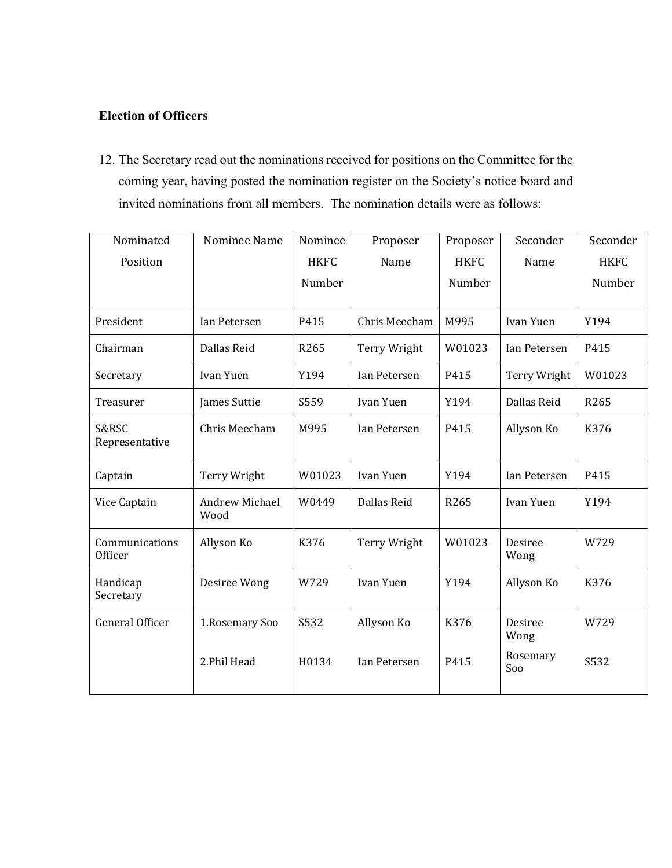## **Election of Officers**

12. The Secretary read out the nominations received for positions on the Committee for the coming year, having posted the nomination register on the Society's notice board and invited nominations from all members. The nomination details were as follows:

| Nominated                 | Nominee Name                  | Nominee     | Proposer      | Proposer    | Seconder        | Seconder    |
|---------------------------|-------------------------------|-------------|---------------|-------------|-----------------|-------------|
| Position                  |                               | <b>HKFC</b> | Name          | <b>HKFC</b> | Name            | <b>HKFC</b> |
|                           |                               | Number      |               | Number      |                 | Number      |
|                           |                               |             |               |             |                 |             |
| President                 | Ian Petersen                  | P415        | Chris Meecham | M995        | Ivan Yuen       | Y194        |
| Chairman                  | Dallas Reid                   | R265        | Terry Wright  | W01023      | Ian Petersen    | P415        |
| Secretary                 | Ivan Yuen                     | Y194        | Ian Petersen  | P415        | Terry Wright    | W01023      |
| Treasurer                 | James Suttie                  | S559        | Ivan Yuen     | Y194        | Dallas Reid     | R265        |
| S&RSC<br>Representative   | Chris Meecham                 | M995        | Ian Petersen  | P415        | Allyson Ko      | K376        |
| Captain                   | Terry Wright                  | W01023      | Ivan Yuen     | Y194        | Ian Petersen    | P415        |
| Vice Captain              | <b>Andrew Michael</b><br>Wood | W0449       | Dallas Reid   | R265        | Ivan Yuen       | Y194        |
| Communications<br>Officer | Allyson Ko                    | K376        | Terry Wright  | W01023      | Desiree<br>Wong | W729        |
| Handicap<br>Secretary     | Desiree Wong                  | W729        | Ivan Yuen     | Y194        | Allyson Ko      | K376        |
| <b>General Officer</b>    | 1. Rosemary Soo               | S532        | Allyson Ko    | K376        | Desiree<br>Wong | W729        |
|                           | 2.Phil Head                   | H0134       | Ian Petersen  | P415        | Rosemary<br>Soo | S532        |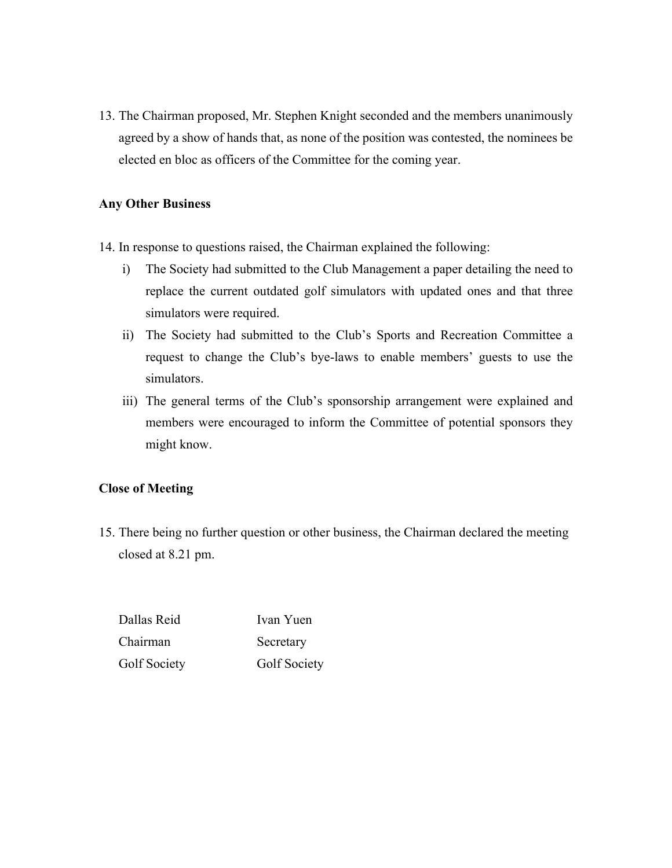13. The Chairman proposed, Mr. Stephen Knight seconded and the members unanimously agreed by a show of hands that, as none of the position was contested, the nominees be elected en bloc as officers of the Committee for the coming year.

#### **Any Other Business**

14. In response to questions raised, the Chairman explained the following:

- i) The Society had submitted to the Club Management a paper detailing the need to replace the current outdated golf simulators with updated ones and that three simulators were required.
- ii) The Society had submitted to the Club's Sports and Recreation Committee a request to change the Club's bye-laws to enable members' guests to use the simulators.
- iii) The general terms of the Club's sponsorship arrangement were explained and members were encouraged to inform the Committee of potential sponsors they might know.

#### **Close of Meeting**

15. There being no further question or other business, the Chairman declared the meeting closed at 8.21 pm.

Dallas Reid Ivan Yuen Chairman Secretary Golf Society **Golf Society**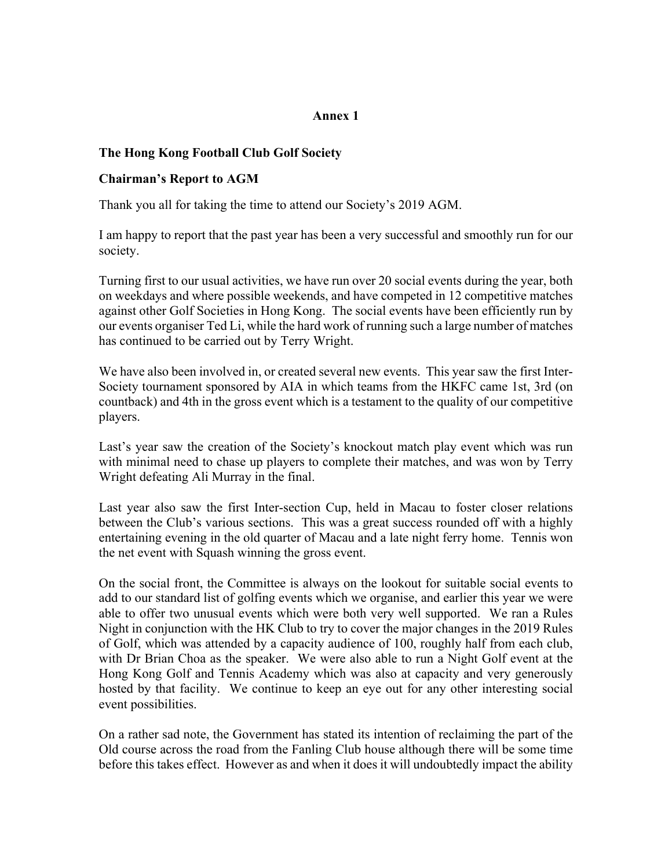## **Annex 1**

## **The Hong Kong Football Club Golf Society**

#### **Chairman's Report to AGM**

Thank you all for taking the time to attend our Society's 2019 AGM.

I am happy to report that the past year has been a very successful and smoothly run for our society.

Turning first to our usual activities, we have run over 20 social events during the year, both on weekdays and where possible weekends, and have competed in 12 competitive matches against other Golf Societies in Hong Kong. The social events have been efficiently run by our events organiser Ted Li, while the hard work of running such a large number of matches has continued to be carried out by Terry Wright.

We have also been involved in, or created several new events. This year saw the first Inter-Society tournament sponsored by AIA in which teams from the HKFC came 1st, 3rd (on countback) and 4th in the gross event which is a testament to the quality of our competitive players.

Last's year saw the creation of the Society's knockout match play event which was run with minimal need to chase up players to complete their matches, and was won by Terry Wright defeating Ali Murray in the final.

Last year also saw the first Inter-section Cup, held in Macau to foster closer relations between the Club's various sections. This was a great success rounded off with a highly entertaining evening in the old quarter of Macau and a late night ferry home. Tennis won the net event with Squash winning the gross event.

On the social front, the Committee is always on the lookout for suitable social events to add to our standard list of golfing events which we organise, and earlier this year we were able to offer two unusual events which were both very well supported. We ran a Rules Night in conjunction with the HK Club to try to cover the major changes in the 2019 Rules of Golf, which was attended by a capacity audience of 100, roughly half from each club, with Dr Brian Choa as the speaker. We were also able to run a Night Golf event at the Hong Kong Golf and Tennis Academy which was also at capacity and very generously hosted by that facility. We continue to keep an eye out for any other interesting social event possibilities.

On a rather sad note, the Government has stated its intention of reclaiming the part of the Old course across the road from the Fanling Club house although there will be some time before this takes effect. However as and when it does it will undoubtedly impact the ability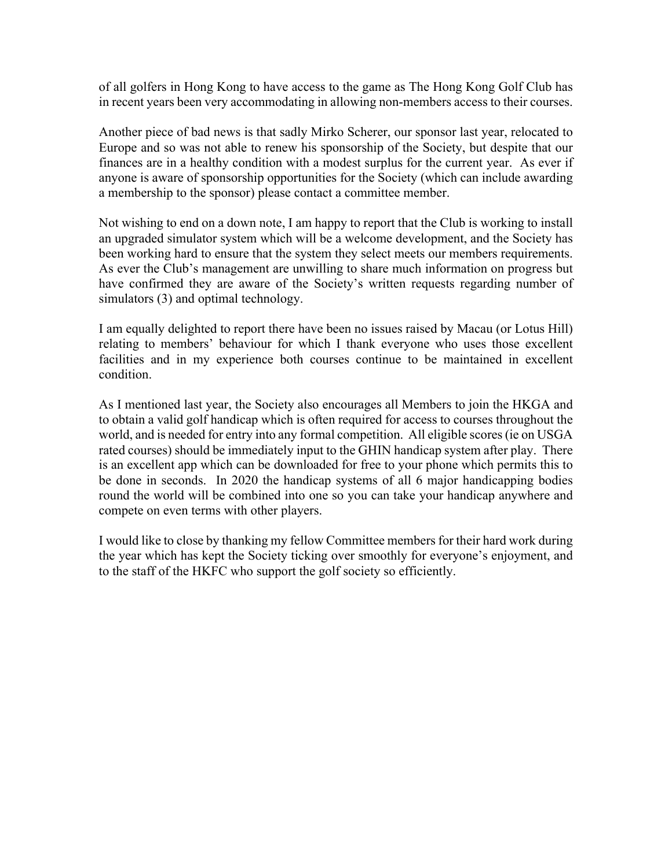of all golfers in Hong Kong to have access to the game as The Hong Kong Golf Club has in recent years been very accommodating in allowing non-members access to their courses.

Another piece of bad news is that sadly Mirko Scherer, our sponsor last year, relocated to Europe and so was not able to renew his sponsorship of the Society, but despite that our finances are in a healthy condition with a modest surplus for the current year. As ever if anyone is aware of sponsorship opportunities for the Society (which can include awarding a membership to the sponsor) please contact a committee member.

Not wishing to end on a down note, I am happy to report that the Club is working to install an upgraded simulator system which will be a welcome development, and the Society has been working hard to ensure that the system they select meets our members requirements. As ever the Club's management are unwilling to share much information on progress but have confirmed they are aware of the Society's written requests regarding number of simulators (3) and optimal technology.

I am equally delighted to report there have been no issues raised by Macau (or Lotus Hill) relating to members' behaviour for which I thank everyone who uses those excellent facilities and in my experience both courses continue to be maintained in excellent condition.

As I mentioned last year, the Society also encourages all Members to join the HKGA and to obtain a valid golf handicap which is often required for access to courses throughout the world, and is needed for entry into any formal competition. All eligible scores (ie on USGA rated courses) should be immediately input to the GHIN handicap system after play. There is an excellent app which can be downloaded for free to your phone which permits this to be done in seconds. In 2020 the handicap systems of all 6 major handicapping bodies round the world will be combined into one so you can take your handicap anywhere and compete on even terms with other players.

I would like to close by thanking my fellow Committee members for their hard work during the year which has kept the Society ticking over smoothly for everyone's enjoyment, and to the staff of the HKFC who support the golf society so efficiently.